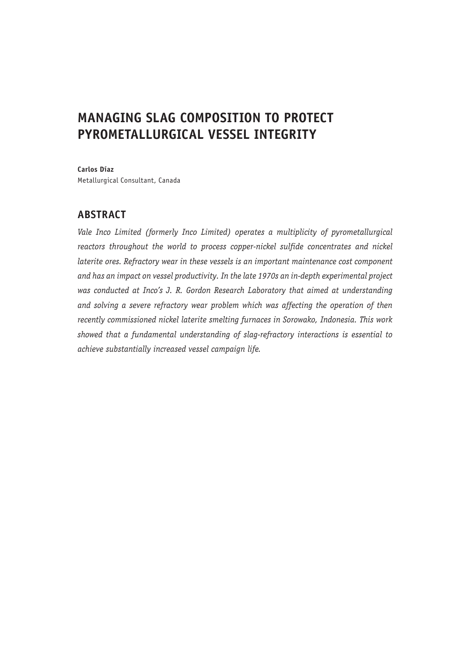# **MANAGING SLAG COMPOSITION TO PROTECT PYROMETALLURGICAL VESSEL INTEGRITY**

**Carlos Díaz**

Metallurgical Consultant, Canada

# **ABSTRACT**

*Vale Inco Limited (formerly Inco Limited) operates a multiplicity of pyrometallurgical*  reactors throughout the world to process copper-nickel sulfide concentrates and nickel *laterite ores. Refractory wear in these vessels is an important maintenance cost component and has an impact on vessel productivity. In the late 1970s an in-depth experimental project was conducted at Inco's J. R. Gordon Research Laboratory that aimed at understanding and solving a severe refractory wear problem which was affecting the operation of then recently commissioned nickel laterite smelting furnaces in Sorowako, Indonesia. This work showed that a fundamental understanding of slag-refractory interactions is essential to achieve substantially increased vessel campaign life.*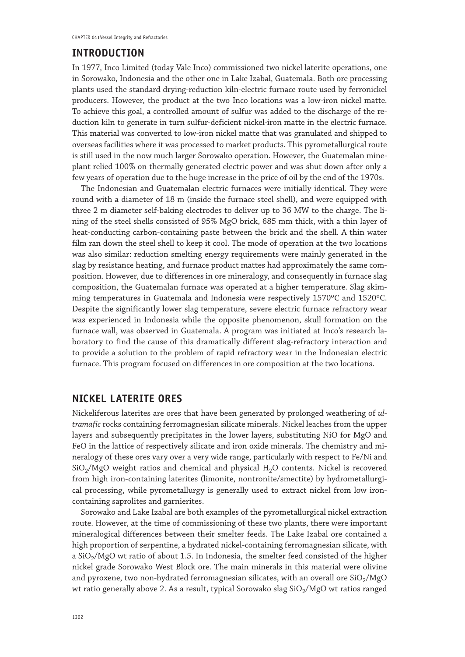### **INTRODUCTION**

In 1977, Inco Limited (today Vale Inco) commissioned two nickel laterite operations, one in Sorowako, Indonesia and the other one in Lake Izabal, Guatemala. Both ore processing plants used the standard drying-reduction kiln-electric furnace route used by ferronickel producers. However, the product at the two Inco locations was a low-iron nickel matte. To achieve this goal, a controlled amount of sulfur was added to the discharge of the reduction kiln to generate in turn sulfur-deficient nickel-iron matte in the electric furnace. This material was converted to low-iron nickel matte that was granulated and shipped to overseas facilities where it was processed to market products. This pyrometallurgical route is still used in the now much larger Sorowako operation. However, the Guatemalan mineplant relied 100% on thermally generated electric power and was shut down after only a few years of operation due to the huge increase in the price of oil by the end of the 1970s.

The Indonesian and Guatemalan electric furnaces were initially identical. They were round with a diameter of 18 m (inside the furnace steel shell), and were equipped with three 2 m diameter self-baking electrodes to deliver up to 36 MW to the charge. The lining of the steel shells consisted of 95% MgO brick, 685 mm thick, with a thin layer of heat-conducting carbon-containing paste between the brick and the shell. A thin water film ran down the steel shell to keep it cool. The mode of operation at the two locations was also similar: reduction smelting energy requirements were mainly generated in the slag by resistance heating, and furnace product mattes had approximately the same composition. However, due to differences in ore mineralogy, and consequently in furnace slag composition, the Guatemalan furnace was operated at a higher temperature. Slag skimming temperatures in Guatemala and Indonesia were respectively 1570ºC and 1520ºC. Despite the significantly lower slag temperature, severe electric furnace refractory wear was experienced in Indonesia while the opposite phenomenon, skull formation on the furnace wall, was observed in Guatemala. A program was initiated at Inco's research laboratory to find the cause of this dramatically different slag-refractory interaction and to provide a solution to the problem of rapid refractory wear in the Indonesian electric furnace. This program focused on differences in ore composition at the two locations.

### **NICKEL LATERITE ORES**

Nickeliferous laterites are ores that have been generated by prolonged weathering of *ultramafic* rocks containing ferromagnesian silicate minerals. Nickel leaches from the upper layers and subsequently precipitates in the lower layers, substituting NiO for MgO and FeO in the lattice of respectively silicate and iron oxide minerals. The chemistry and mineralogy of these ores vary over a very wide range, particularly with respect to Fe/Ni and  $SiO<sub>2</sub>/MgO$  weight ratios and chemical and physical  $H<sub>2</sub>O$  contents. Nickel is recovered from high iron-containing laterites (limonite, nontronite/smectite) by hydrometallurgical processing, while pyrometallurgy is generally used to extract nickel from low ironcontaining saprolites and garnierites.

Sorowako and Lake Izabal are both examples of the pyrometallurgical nickel extraction route. However, at the time of commissioning of these two plants, there were important mineralogical differences between their smelter feeds. The Lake Izabal ore contained a high proportion of serpentine, a hydrated nickel-containing ferromagnesian silicate, with a  $SiO<sub>2</sub>/MgO$  wt ratio of about 1.5. In Indonesia, the smelter feed consisted of the higher nickel grade Sorowako West Block ore. The main minerals in this material were olivine and pyroxene, two non-hydrated ferromagnesian silicates, with an overall ore  $SiO<sub>2</sub>/MgO$ wt ratio generally above 2. As a result, typical Sorowako slag  $SiO<sub>2</sub>/MgO$  wt ratios ranged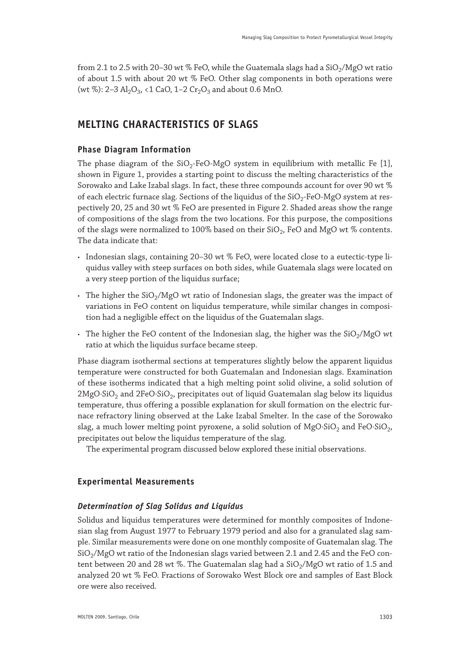from 2.1 to 2.5 with 20–30 wt % FeO, while the Guatemala slags had a  $SiO<sub>2</sub>/MgO$  wt ratio of about 1.5 with about 20 wt % FeO. Other slag components in both operations were (wt %): 2–3 Al<sub>2</sub>O<sub>3</sub>, <1 CaO, 1–2 Cr<sub>2</sub>O<sub>3</sub> and about 0.6 MnO.

# **MELTING CHARACTERISTICS OF SLAGS**

### **Phase Diagram Information**

The phase diagram of the  $SiO<sub>2</sub>$ -FeO-MgO system in equilibrium with metallic Fe [1], shown in Figure 1, provides a starting point to discuss the melting characteristics of the Sorowako and Lake Izabal slags. In fact, these three compounds account for over 90 wt % of each electric furnace slag. Sections of the liquidus of the  $SiO<sub>2</sub>-FeO-MgO$  system at respectively 20, 25 and 30 wt % FeO are presented in Figure 2. Shaded areas show the range of compositions of the slags from the two locations. For this purpose, the compositions of the slags were normalized to 100% based on their  $SiO<sub>2</sub>$ , FeO and MgO wt % contents. The data indicate that:

- • Indonesian slags, containing 20–30 wt % FeO, were located close to a eutectic-type liquidus valley with steep surfaces on both sides, while Guatemala slags were located on a very steep portion of the liquidus surface;
- The higher the  $SiO<sub>2</sub>/MgO$  wt ratio of Indonesian slags, the greater was the impact of variations in FeO content on liquidus temperature, while similar changes in composition had a negligible effect on the liquidus of the Guatemalan slags.
- The higher the FeO content of the Indonesian slag, the higher was the  $SiO<sub>2</sub>/MgO$  wt ratio at which the liquidus surface became steep.

Phase diagram isothermal sections at temperatures slightly below the apparent liquidus temperature were constructed for both Guatemalan and Indonesian slags. Examination of these isotherms indicated that a high melting point solid olivine, a solid solution of  $2MgO·SiO<sub>2</sub>$  and  $2FeO·SiO<sub>2</sub>$ , precipitates out of liquid Guatemalan slag below its liquidus temperature, thus offering a possible explanation for skull formation on the electric furnace refractory lining observed at the Lake Izabal Smelter. In the case of the Sorowako slag, a much lower melting point pyroxene, a solid solution of  $MgO·SiO<sub>2</sub>$  and FeO·SiO<sub>2</sub>, precipitates out below the liquidus temperature of the slag.

The experimental program discussed below explored these initial observations.

### **Experimental Measurements**

### *Determination of Slag Solidus and Liquidus*

Solidus and liquidus temperatures were determined for monthly composites of Indonesian slag from August 1977 to February 1979 period and also for a granulated slag sample. Similar measurements were done on one monthly composite of Guatemalan slag. The  $SiO<sub>2</sub>/MgO$  wt ratio of the Indonesian slags varied between 2.1 and 2.45 and the FeO content between 20 and 28 wt %. The Guatemalan slag had a  $SiO<sub>2</sub>/MgO$  wt ratio of 1.5 and analyzed 20 wt % FeO. Fractions of Sorowako West Block ore and samples of East Block ore were also received.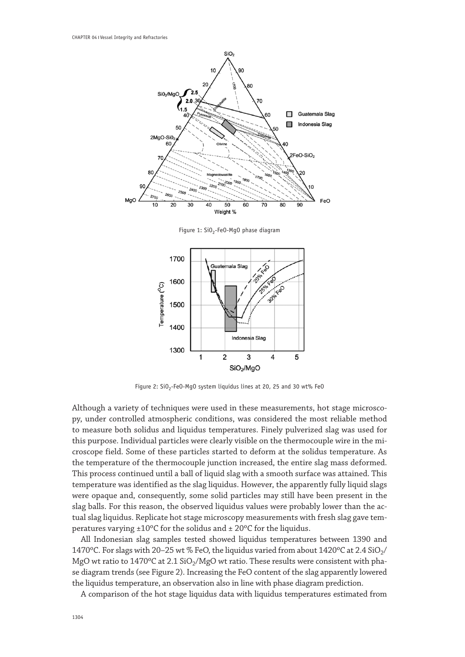

Figure 1: SiO<sub>2</sub>-FeO-MgO phase diagram



Figure 2: SiO<sub>2</sub>-FeO-MgO system liquidus lines at 20, 25 and 30 wt% FeO

Although a variety of techniques were used in these measurements, hot stage microscopy, under controlled atmospheric conditions, was considered the most reliable method to measure both solidus and liquidus temperatures. Finely pulverized slag was used for this purpose. Individual particles were clearly visible on the thermocouple wire in the microscope field. Some of these particles started to deform at the solidus temperature. As the temperature of the thermocouple junction increased, the entire slag mass deformed. This process continued until a ball of liquid slag with a smooth surface was attained. This temperature was identified as the slag liquidus. However, the apparently fully liquid slags were opaque and, consequently, some solid particles may still have been present in the slag balls. For this reason, the observed liquidus values were probably lower than the actual slag liquidus. Replicate hot stage microscopy measurements with fresh slag gave temperatures varying ±10ºC for the solidus and ± 20ºC for the liquidus.

All Indonesian slag samples tested showed liquidus temperatures between 1390 and 1470°C. For slags with 20–25 wt % FeO, the liquidus varied from about  $1420$ °C at 2.4 SiO<sub>2</sub>/ MgO wt ratio to  $1470^{\circ}$ C at  $2.1$  SiO<sub>2</sub>/MgO wt ratio. These results were consistent with phase diagram trends (see Figure 2). Increasing the FeO content of the slag apparently lowered the liquidus temperature, an observation also in line with phase diagram prediction.

A comparison of the hot stage liquidus data with liquidus temperatures estimated from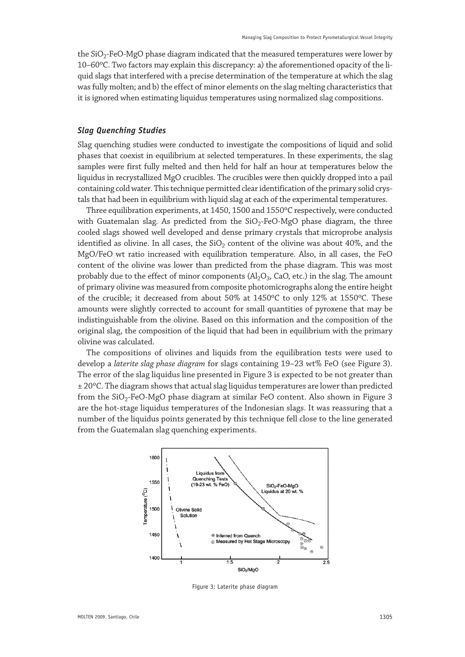the  $SiO<sub>2</sub>$ -FeO-MgO phase diagram indicated that the measured temperatures were lower by 10–60ºC. Two factors may explain this discrepancy: a) the aforementioned opacity of the liquid slags that interfered with a precise determination of the temperature at which the slag was fully molten; and b) the effect of minor elements on the slag melting characteristics that it is ignored when estimating liquidus temperatures using normalized slag compositions.

#### *Slag Quenching Studies*

Slag quenching studies were conducted to investigate the compositions of liquid and solid phases that coexist in equilibrium at selected temperatures. In these experiments, the slag samples were first fully melted and then held for half an hour at temperatures below the liquidus in recrystallized MgO crucibles. The crucibles were then quickly dropped into a pail containing cold water. This technique permitted clear identification of the primary solid crystals that had been in equilibrium with liquid slag at each of the experimental temperatures.

Three equilibration experiments, at 1450, 1500 and 1550ºC respectively, were conducted with Guatemalan slag. As predicted from the  $SiO<sub>2</sub>-FeO-MgO$  phase diagram, the three cooled slags showed well developed and dense primary crystals that microprobe analysis identified as olivine. In all cases, the  $SiO<sub>2</sub>$  content of the olivine was about 40%, and the MgO/FeO wt ratio increased with equilibration temperature. Also, in all cases, the FeO content of the olivine was lower than predicted from the phase diagram. This was most probably due to the effect of minor components  $(Al_2O_3, CaO, etc.)$  in the slag. The amount of primary olivine was measured from composite photomicrographs along the entire height of the crucible; it decreased from about 50% at 1450ºC to only 12% at 1550ºC. These amounts were slightly corrected to account for small quantities of pyroxene that may be indistinguishable from the olivine. Based on this information and the composition of the original slag, the composition of the liquid that had been in equilibrium with the primary olivine was calculated.

The compositions of olivines and liquids from the equilibration tests were used to develop a *laterite slag phase diagram* for slags containing 19–23 wt% FeO (see Figure 3). The error of the slag liquidus line presented in Figure 3 is expected to be not greater than ± 20ºC. The diagram shows that actual slag liquidus temperatures are lower than predicted from the  $SiO_2$ -FeO-MgO phase diagram at similar FeO content. Also shown in Figure 3 are the hot-stage liquidus temperatures of the Indonesian slags. It was reassuring that a number of the liquidus points generated by this technique fell close to the line generated from the Guatemalan slag quenching experiments.



Figure 3: Laterite phase diagram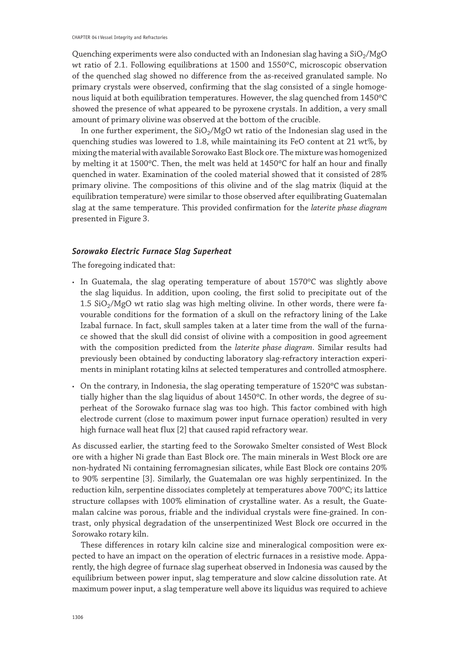Quenching experiments were also conducted with an Indonesian slag having a  $SiO<sub>2</sub>/MgO$ wt ratio of 2.1. Following equilibrations at 1500 and 1550ºC, microscopic observation of the quenched slag showed no difference from the as-received granulated sample. No primary crystals were observed, confirming that the slag consisted of a single homogenous liquid at both equilibration temperatures. However, the slag quenched from 1450ºC showed the presence of what appeared to be pyroxene crystals. In addition, a very small amount of primary olivine was observed at the bottom of the crucible.

In one further experiment, the  $SiO<sub>2</sub>/MgO$  wt ratio of the Indonesian slag used in the quenching studies was lowered to 1.8, while maintaining its FeO content at 21 wt%, by mixing the material with available Sorowako East Block ore. The mixture was homogenized by melting it at 1500ºC. Then, the melt was held at 1450ºC for half an hour and finally quenched in water. Examination of the cooled material showed that it consisted of 28% primary olivine. The compositions of this olivine and of the slag matrix (liquid at the equilibration temperature) were similar to those observed after equilibrating Guatemalan slag at the same temperature. This provided confirmation for the *laterite phase diagram* presented in Figure 3.

#### *Sorowako Electric Furnace Slag Superheat*

The foregoing indicated that:

- In Guatemala, the slag operating temperature of about 1570°C was slightly above the slag liquidus. In addition, upon cooling, the first solid to precipitate out of the  $1.5$  SiO<sub>2</sub>/MgO wt ratio slag was high melting olivine. In other words, there were favourable conditions for the formation of a skull on the refractory lining of the Lake Izabal furnace. In fact, skull samples taken at a later time from the wall of the furnace showed that the skull did consist of olivine with a composition in good agreement with the composition predicted from the *laterite phase diagram*. Similar results had previously been obtained by conducting laboratory slag-refractory interaction experiments in miniplant rotating kilns at selected temperatures and controlled atmosphere.
- On the contrary, in Indonesia, the slag operating temperature of 1520°C was substantially higher than the slag liquidus of about 1450ºC. In other words, the degree of superheat of the Sorowako furnace slag was too high. This factor combined with high electrode current (close to maximum power input furnace operation) resulted in very high furnace wall heat flux [2] that caused rapid refractory wear.

As discussed earlier, the starting feed to the Sorowako Smelter consisted of West Block ore with a higher Ni grade than East Block ore. The main minerals in West Block ore are non-hydrated Ni containing ferromagnesian silicates, while East Block ore contains 20% to 90% serpentine [3]. Similarly, the Guatemalan ore was highly serpentinized. In the reduction kiln, serpentine dissociates completely at temperatures above 700ºC; its lattice structure collapses with 100% elimination of crystalline water. As a result, the Guatemalan calcine was porous, friable and the individual crystals were fine-grained. In contrast, only physical degradation of the unserpentinized West Block ore occurred in the Sorowako rotary kiln.

These differences in rotary kiln calcine size and mineralogical composition were expected to have an impact on the operation of electric furnaces in a resistive mode. Apparently, the high degree of furnace slag superheat observed in Indonesia was caused by the equilibrium between power input, slag temperature and slow calcine dissolution rate. At maximum power input, a slag temperature well above its liquidus was required to achieve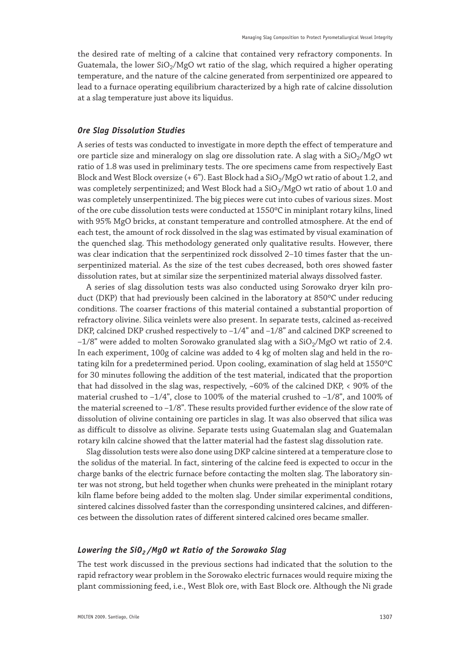the desired rate of melting of a calcine that contained very refractory components. In Guatemala, the lower  $SiO<sub>2</sub>/MgO$  wt ratio of the slag, which required a higher operating temperature, and the nature of the calcine generated from serpentinized ore appeared to lead to a furnace operating equilibrium characterized by a high rate of calcine dissolution at a slag temperature just above its liquidus.

#### *Ore Slag Dissolution Studies*

A series of tests was conducted to investigate in more depth the effect of temperature and ore particle size and mineralogy on slag ore dissolution rate. A slag with a  $SiO<sub>2</sub>/MgO$  wt ratio of 1.8 was used in preliminary tests. The ore specimens came from respectively East Block and West Block oversize  $(+ 6")$ . East Block had a SiO<sub>2</sub>/MgO wt ratio of about 1.2, and was completely serpentinized; and West Block had a  $SiO<sub>2</sub>/MgO$  wt ratio of about 1.0 and was completely unserpentinized. The big pieces were cut into cubes of various sizes. Most of the ore cube dissolution tests were conducted at 1550ºC in miniplant rotary kilns, lined with 95% MgO bricks, at constant temperature and controlled atmosphere. At the end of each test, the amount of rock dissolved in the slag was estimated by visual examination of the quenched slag. This methodology generated only qualitative results. However, there was clear indication that the serpentinized rock dissolved 2–10 times faster that the unserpentinized material. As the size of the test cubes decreased, both ores showed faster dissolution rates, but at similar size the serpentinized material always dissolved faster.

A series of slag dissolution tests was also conducted using Sorowako dryer kiln product (DKP) that had previously been calcined in the laboratory at 850ºC under reducing conditions. The coarser fractions of this material contained a substantial proportion of refractory olivine. Silica veinlets were also present. In separate tests, calcined as-received DKP, calcined DKP crushed respectively to –1/4" and –1/8" and calcined DKP screened to  $-1/8$ " were added to molten Sorowako granulated slag with a SiO<sub>2</sub>/MgO wt ratio of 2.4. In each experiment, 100g of calcine was added to 4 kg of molten slag and held in the rotating kiln for a predetermined period. Upon cooling, examination of slag held at 1550ºC for 30 minutes following the addition of the test material, indicated that the proportion that had dissolved in the slag was, respectively, ~60% of the calcined DKP, < 90% of the material crushed to  $-1/4$ ", close to 100% of the material crushed to  $-1/8$ ", and 100% of the material screened to –1/8". These results provided further evidence of the slow rate of dissolution of olivine containing ore particles in slag. It was also observed that silica was as difficult to dissolve as olivine. Separate tests using Guatemalan slag and Guatemalan rotary kiln calcine showed that the latter material had the fastest slag dissolution rate.

Slag dissolution tests were also done using DKP calcine sintered at a temperature close to the solidus of the material. In fact, sintering of the calcine feed is expected to occur in the charge banks of the electric furnace before contacting the molten slag. The laboratory sinter was not strong, but held together when chunks were preheated in the miniplant rotary kiln flame before being added to the molten slag. Under similar experimental conditions, sintered calcines dissolved faster than the corresponding unsintered calcines, and differences between the dissolution rates of different sintered calcined ores became smaller.

#### Lowering the SiO<sub>2</sub> /MgO wt Ratio of the Sorowako Slag

The test work discussed in the previous sections had indicated that the solution to the rapid refractory wear problem in the Sorowako electric furnaces would require mixing the plant commissioning feed, i.e., West Blok ore, with East Block ore. Although the Ni grade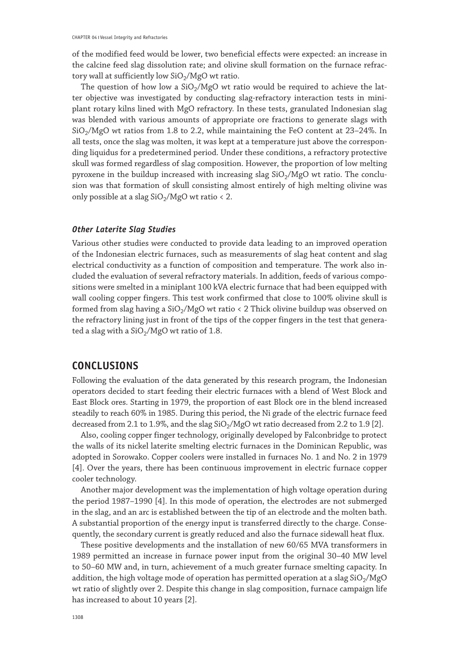of the modified feed would be lower, two beneficial effects were expected: an increase in the calcine feed slag dissolution rate; and olivine skull formation on the furnace refractory wall at sufficiently low  $SiO_2/MgO$  wt ratio.

The question of how low a  $SiO<sub>2</sub>/MgO$  wt ratio would be required to achieve the latter objective was investigated by conducting slag-refractory interaction tests in miniplant rotary kilns lined with MgO refractory. In these tests, granulated Indonesian slag was blended with various amounts of appropriate ore fractions to generate slags with  $SiO<sub>2</sub>/MgO$  wt ratios from 1.8 to 2.2, while maintaining the FeO content at 23–24%. In all tests, once the slag was molten, it was kept at a temperature just above the corresponding liquidus for a predetermined period. Under these conditions, a refractory protective skull was formed regardless of slag composition. However, the proportion of low melting pyroxene in the buildup increased with increasing slag  $SiO<sub>2</sub>/MgO$  wt ratio. The conclusion was that formation of skull consisting almost entirely of high melting olivine was only possible at a slag  $SiO<sub>2</sub>/MgO$  wt ratio < 2.

#### *Other Laterite Slag Studies*

Various other studies were conducted to provide data leading to an improved operation of the Indonesian electric furnaces, such as measurements of slag heat content and slag electrical conductivity as a function of composition and temperature. The work also included the evaluation of several refractory materials. In addition, feeds of various compositions were smelted in a miniplant 100 kVA electric furnace that had been equipped with wall cooling copper fingers. This test work confirmed that close to 100% olivine skull is formed from slag having a  $SiO<sub>2</sub>/MgO$  wt ratio < 2 Thick olivine buildup was observed on the refractory lining just in front of the tips of the copper fingers in the test that generated a slag with a  $SiO<sub>2</sub>/MgO$  wt ratio of 1.8.

## **CONCLUSIONS**

Following the evaluation of the data generated by this research program, the Indonesian operators decided to start feeding their electric furnaces with a blend of West Block and East Block ores. Starting in 1979, the proportion of east Block ore in the blend increased steadily to reach 60% in 1985. During this period, the Ni grade of the electric furnace feed decreased from 2.1 to 1.9%, and the slag  $SiO<sub>2</sub>/MgO$  wt ratio decreased from 2.2 to 1.9 [2].

Also, cooling copper finger technology, originally developed by Falconbridge to protect the walls of its nickel laterite smelting electric furnaces in the Dominican Republic, was adopted in Sorowako. Copper coolers were installed in furnaces No. 1 and No. 2 in 1979 [4]. Over the years, there has been continuous improvement in electric furnace copper cooler technology.

Another major development was the implementation of high voltage operation during the period 1987–1990 [4]. In this mode of operation, the electrodes are not submerged in the slag, and an arc is established between the tip of an electrode and the molten bath. A substantial proportion of the energy input is transferred directly to the charge. Consequently, the secondary current is greatly reduced and also the furnace sidewall heat flux.

These positive developments and the installation of new 60/65 MVA transformers in 1989 permitted an increase in furnace power input from the original 30–40 MW level to 50–60 MW and, in turn, achievement of a much greater furnace smelting capacity. In addition, the high voltage mode of operation has permitted operation at a slag  $SiO<sub>2</sub>/MgO$ wt ratio of slightly over 2. Despite this change in slag composition, furnace campaign life has increased to about 10 years [2].